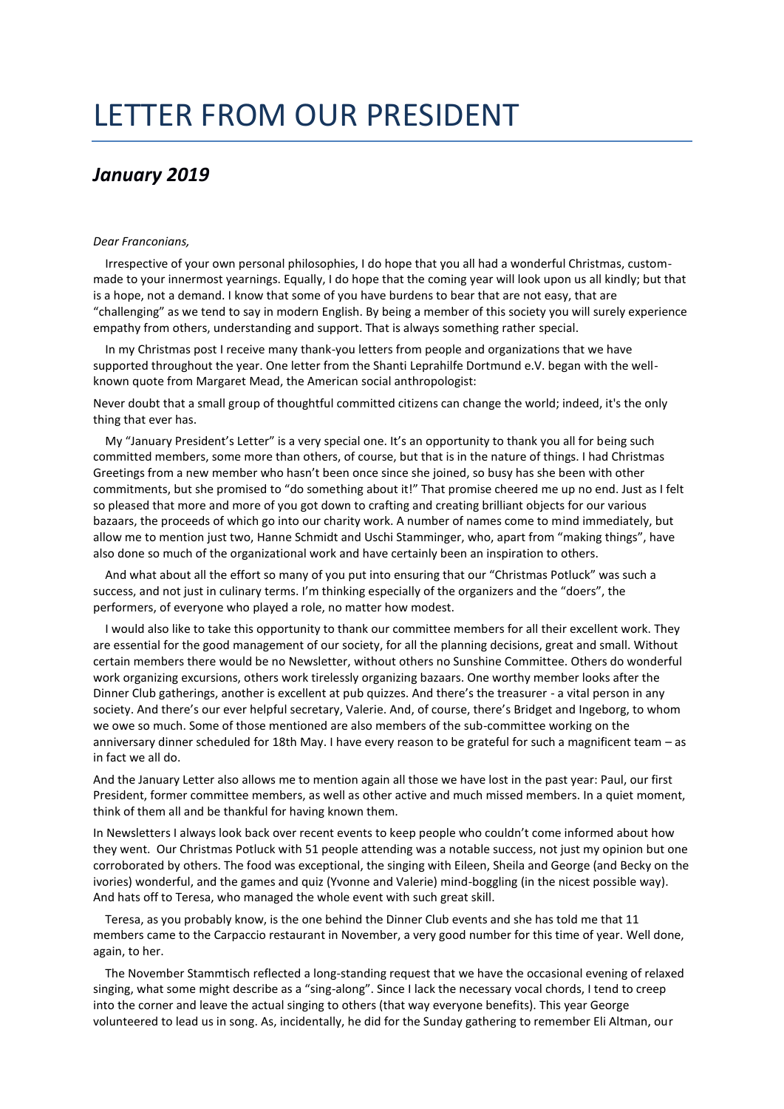## LETTER FROM OUR PRESIDENT

## *January 2019*

## *Dear Franconians,*

Irrespective of your own personal philosophies, I do hope that you all had a wonderful Christmas, custommade to your innermost yearnings. Equally, I do hope that the coming year will look upon us all kindly; but that is a hope, not a demand. I know that some of you have burdens to bear that are not easy, that are "challenging" as we tend to say in modern English. By being a member of this society you will surely experience empathy from others, understanding and support. That is always something rather special.

In my Christmas post I receive many thank-you letters from people and organizations that we have supported throughout the year. One letter from the Shanti Leprahilfe Dortmund e.V. began with the wellknown quote from Margaret Mead, the American social anthropologist:

Never doubt that a small group of thoughtful committed citizens can change the world; indeed, it's the only thing that ever has.

My "January President's Letter" is a very special one. It's an opportunity to thank you all for being such committed members, some more than others, of course, but that is in the nature of things. I had Christmas Greetings from a new member who hasn't been once since she joined, so busy has she been with other commitments, but she promised to "do something about it!" That promise cheered me up no end. Just as I felt so pleased that more and more of you got down to crafting and creating brilliant objects for our various bazaars, the proceeds of which go into our charity work. A number of names come to mind immediately, but allow me to mention just two, Hanne Schmidt and Uschi Stamminger, who, apart from "making things", have also done so much of the organizational work and have certainly been an inspiration to others.

And what about all the effort so many of you put into ensuring that our "Christmas Potluck" was such a success, and not just in culinary terms. I'm thinking especially of the organizers and the "doers", the performers, of everyone who played a role, no matter how modest.

I would also like to take this opportunity to thank our committee members for all their excellent work. They are essential for the good management of our society, for all the planning decisions, great and small. Without certain members there would be no Newsletter, without others no Sunshine Committee. Others do wonderful work organizing excursions, others work tirelessly organizing bazaars. One worthy member looks after the Dinner Club gatherings, another is excellent at pub quizzes. And there's the treasurer - a vital person in any society. And there's our ever helpful secretary, Valerie. And, of course, there's Bridget and Ingeborg, to whom we owe so much. Some of those mentioned are also members of the sub-committee working on the anniversary dinner scheduled for 18th May. I have every reason to be grateful for such a magnificent team – as in fact we all do.

And the January Letter also allows me to mention again all those we have lost in the past year: Paul, our first President, former committee members, as well as other active and much missed members. In a quiet moment, think of them all and be thankful for having known them.

In Newsletters I always look back over recent events to keep people who couldn't come informed about how they went. Our Christmas Potluck with 51 people attending was a notable success, not just my opinion but one corroborated by others. The food was exceptional, the singing with Eileen, Sheila and George (and Becky on the ivories) wonderful, and the games and quiz (Yvonne and Valerie) mind-boggling (in the nicest possible way). And hats off to Teresa, who managed the whole event with such great skill.

Teresa, as you probably know, is the one behind the Dinner Club events and she has told me that 11 members came to the Carpaccio restaurant in November, a very good number for this time of year. Well done, again, to her.

The November Stammtisch reflected a long-standing request that we have the occasional evening of relaxed singing, what some might describe as a "sing-along". Since I lack the necessary vocal chords, I tend to creep into the corner and leave the actual singing to others (that way everyone benefits). This year George volunteered to lead us in song. As, incidentally, he did for the Sunday gathering to remember Eli Altman, our